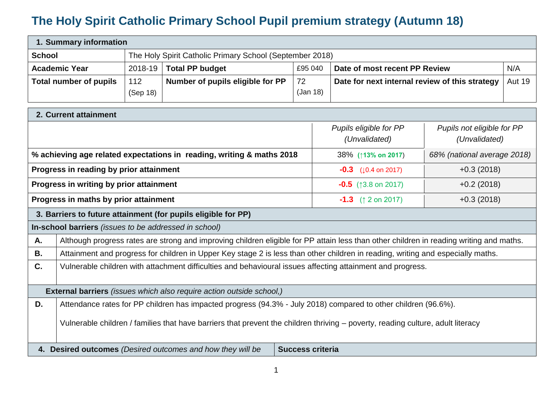## **The Holy Spirit Catholic Primary School Pupil premium strategy (Autumn 18)**

| 1. Summary information |             |                                                          |          |                                                |               |  |  |
|------------------------|-------------|----------------------------------------------------------|----------|------------------------------------------------|---------------|--|--|
| <b>School</b>          |             | The Holy Spirit Catholic Primary School (September 2018) |          |                                                |               |  |  |
| <b>Academic Year</b>   | $2018 - 19$ | <b>Total PP budget</b>                                   | £95 040  | Date of most recent PP Review                  | N/A           |  |  |
| Total number of pupils | 112         | Number of pupils eligible for PP                         | 72       | Date for next internal review of this strategy | <b>Aut 19</b> |  |  |
|                        | (Sep 18)    |                                                          | (Jan 18) |                                                |               |  |  |

| 2. Current attainment                                                                                                           |                                                                                                                                         |                                         |                                             |  |  |  |
|---------------------------------------------------------------------------------------------------------------------------------|-----------------------------------------------------------------------------------------------------------------------------------------|-----------------------------------------|---------------------------------------------|--|--|--|
|                                                                                                                                 |                                                                                                                                         | Pupils eligible for PP<br>(Unvalidated) | Pupils not eligible for PP<br>(Unvalidated) |  |  |  |
|                                                                                                                                 | % achieving age related expectations in reading, writing & maths 2018                                                                   | 38% (↑13% on 2017)                      | 68% (national average 2018)                 |  |  |  |
|                                                                                                                                 | Progress in reading by prior attainment                                                                                                 | $-0.3$ ( $\downarrow$ 0.4 on 2017)      | $+0.3(2018)$                                |  |  |  |
|                                                                                                                                 | Progress in writing by prior attainment                                                                                                 | $-0.5$ (13.8 on 2017)                   | $+0.2(2018)$                                |  |  |  |
|                                                                                                                                 | Progress in maths by prior attainment                                                                                                   | <b>-1.3</b> ( $\uparrow$ 2 on 2017)     | $+0.3(2018)$                                |  |  |  |
|                                                                                                                                 | 3. Barriers to future attainment (for pupils eligible for PP)                                                                           |                                         |                                             |  |  |  |
|                                                                                                                                 | In-school barriers (issues to be addressed in school)                                                                                   |                                         |                                             |  |  |  |
| Α.                                                                                                                              | Although progress rates are strong and improving children eligible for PP attain less than other children in reading writing and maths. |                                         |                                             |  |  |  |
| В.                                                                                                                              | Attainment and progress for children in Upper Key stage 2 is less than other children in reading, writing and especially maths.         |                                         |                                             |  |  |  |
| C.                                                                                                                              | Vulnerable children with attachment difficulties and behavioural issues affecting attainment and progress.                              |                                         |                                             |  |  |  |
|                                                                                                                                 | <b>External barriers</b> (issues which also require action outside school,)                                                             |                                         |                                             |  |  |  |
| D.                                                                                                                              | Attendance rates for PP children has impacted progress (94.3% - July 2018) compared to other children (96.6%).                          |                                         |                                             |  |  |  |
| Vulnerable children / families that have barriers that prevent the children thriving – poverty, reading culture, adult literacy |                                                                                                                                         |                                         |                                             |  |  |  |
|                                                                                                                                 | 4. Desired outcomes (Desired outcomes and how they will be                                                                              | <b>Success criteria</b>                 |                                             |  |  |  |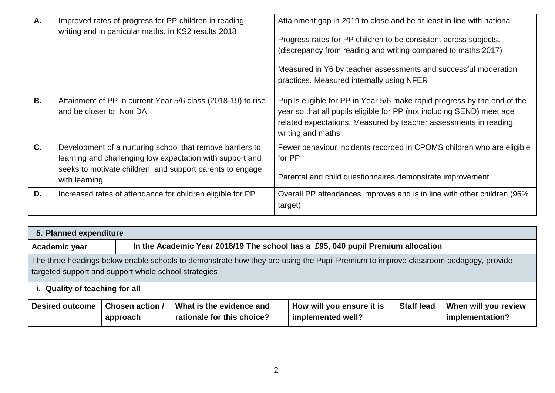| A.        | Improved rates of progress for PP children in reading,<br>writing and in particular maths, in KS2 results 2018                                                                                      | Attainment gap in 2019 to close and be at least in line with national<br>Progress rates for PP children to be consistent across subjects.<br>(discrepancy from reading and writing compared to maths 2017)<br>Measured in Y6 by teacher assessments and successful moderation<br>practices. Measured internally using NFER |
|-----------|-----------------------------------------------------------------------------------------------------------------------------------------------------------------------------------------------------|----------------------------------------------------------------------------------------------------------------------------------------------------------------------------------------------------------------------------------------------------------------------------------------------------------------------------|
| <b>B.</b> | Attainment of PP in current Year 5/6 class (2018-19) to rise<br>and be closer to Non DA                                                                                                             | Pupils eligible for PP in Year 5/6 make rapid progress by the end of the<br>year so that all pupils eligible for PP (not including SEND) meet age<br>related expectations. Measured by teacher assessments in reading,<br>writing and maths                                                                                |
| C.        | Development of a nurturing school that remove barriers to<br>learning and challenging low expectation with support and<br>seeks to motivate children and support parents to engage<br>with learning | Fewer behaviour incidents recorded in CPOMS children who are eligible<br>for PP<br>Parental and child questionnaires demonstrate improvement                                                                                                                                                                               |
| D.        | Increased rates of attendance for children eligible for PP                                                                                                                                          | Overall PP attendances improves and is in line with other children (96%)<br>target)                                                                                                                                                                                                                                        |

| 5. Planned expenditure                                                                                                                                                                                                       |                             |                                                                                 |                                                |                   |                                         |  |
|------------------------------------------------------------------------------------------------------------------------------------------------------------------------------------------------------------------------------|-----------------------------|---------------------------------------------------------------------------------|------------------------------------------------|-------------------|-----------------------------------------|--|
| Academic year                                                                                                                                                                                                                |                             | In the Academic Year 2018/19 The school has a £95, 040 pupil Premium allocation |                                                |                   |                                         |  |
| The three headings below enable schools to demonstrate how they are using the Pupil Premium to improve classroom pedagogy, provide<br>targeted support and support whole school strategies<br>i. Quality of teaching for all |                             |                                                                                 |                                                |                   |                                         |  |
| <b>Desired outcome</b>                                                                                                                                                                                                       | Chosen action /<br>approach | What is the evidence and<br>rationale for this choice?                          | How will you ensure it is<br>implemented well? | <b>Staff lead</b> | When will you review<br>implementation? |  |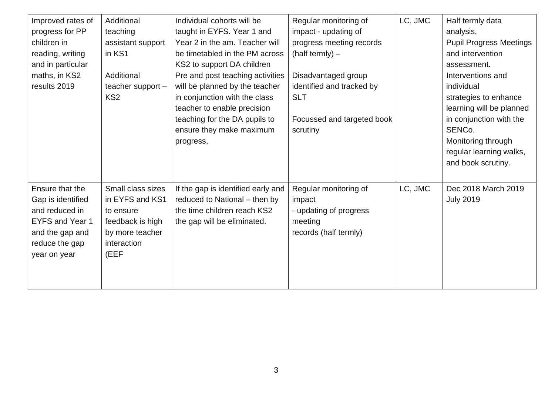| Improved rates of<br>progress for PP<br>children in<br>reading, writing<br>and in particular<br>maths, in KS2<br>results 2019         | Additional<br>teaching<br>assistant support<br>in KS1<br>Additional<br>teacher support -<br>KS <sub>2</sub>     | Individual cohorts will be<br>taught in EYFS. Year 1 and<br>Year 2 in the am. Teacher will<br>be timetabled in the PM across<br>KS2 to support DA children<br>Pre and post teaching activities<br>will be planned by the teacher<br>in conjunction with the class<br>teacher to enable precision<br>teaching for the DA pupils to<br>ensure they make maximum<br>progress, | Regular monitoring of<br>impact - updating of<br>progress meeting records<br>$(half termly)$ –<br>Disadvantaged group<br>identified and tracked by<br><b>SLT</b><br>Focussed and targeted book<br>scrutiny | LC, JMC | Half termly data<br>analysis,<br><b>Pupil Progress Meetings</b><br>and intervention<br>assessment.<br>Interventions and<br>individual<br>strategies to enhance<br>learning will be planned<br>in conjunction with the<br>SENCo.<br>Monitoring through<br>regular learning walks,<br>and book scrutiny. |
|---------------------------------------------------------------------------------------------------------------------------------------|-----------------------------------------------------------------------------------------------------------------|----------------------------------------------------------------------------------------------------------------------------------------------------------------------------------------------------------------------------------------------------------------------------------------------------------------------------------------------------------------------------|------------------------------------------------------------------------------------------------------------------------------------------------------------------------------------------------------------|---------|--------------------------------------------------------------------------------------------------------------------------------------------------------------------------------------------------------------------------------------------------------------------------------------------------------|
| Ensure that the<br>Gap is identified<br>and reduced in<br><b>EYFS and Year 1</b><br>and the gap and<br>reduce the gap<br>year on year | Small class sizes<br>in EYFS and KS1<br>to ensure<br>feedback is high<br>by more teacher<br>interaction<br>(EEF | If the gap is identified early and<br>reduced to National - then by<br>the time children reach KS2<br>the gap will be eliminated.                                                                                                                                                                                                                                          | Regular monitoring of<br>impact<br>- updating of progress<br>meeting<br>records (half termly)                                                                                                              | LC, JMC | Dec 2018 March 2019<br><b>July 2019</b>                                                                                                                                                                                                                                                                |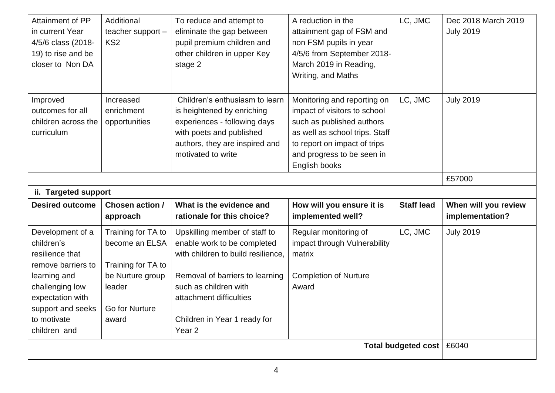| Attainment of PP<br>in current Year<br>4/5/6 class (2018-<br>19) to rise and be<br>closer to Non DA                                                                                                 | Additional<br>teacher support -<br>KS <sub>2</sub>                                                | To reduce and attempt to<br>eliminate the gap between<br>pupil premium children and<br>other children in upper Key<br>stage 2                                                                                                                  | A reduction in the<br>attainment gap of FSM and<br>non FSM pupils in year<br>4/5/6 from September 2018-<br>March 2019 in Reading,<br>Writing, and Maths                                                   | LC, JMC           | Dec 2018 March 2019<br><b>July 2019</b> |
|-----------------------------------------------------------------------------------------------------------------------------------------------------------------------------------------------------|---------------------------------------------------------------------------------------------------|------------------------------------------------------------------------------------------------------------------------------------------------------------------------------------------------------------------------------------------------|-----------------------------------------------------------------------------------------------------------------------------------------------------------------------------------------------------------|-------------------|-----------------------------------------|
| Improved<br>outcomes for all<br>children across the<br>curriculum                                                                                                                                   | Increased<br>enrichment<br>opportunities                                                          | Children's enthusiasm to learn<br>is heightened by enriching<br>experiences - following days<br>with poets and published<br>authors, they are inspired and<br>motivated to write                                                               | Monitoring and reporting on<br>impact of visitors to school<br>such as published authors<br>as well as school trips. Staff<br>to report on impact of trips<br>and progress to be seen in<br>English books | LC, JMC           | <b>July 2019</b>                        |
| ii. Targeted support                                                                                                                                                                                |                                                                                                   |                                                                                                                                                                                                                                                |                                                                                                                                                                                                           |                   | £57000                                  |
| <b>Desired outcome</b>                                                                                                                                                                              | Chosen action /<br>approach                                                                       | What is the evidence and<br>rationale for this choice?                                                                                                                                                                                         | How will you ensure it is<br>implemented well?                                                                                                                                                            | <b>Staff lead</b> | When will you review<br>implementation? |
| Development of a<br>children's<br>resilience that<br>remove barriers to<br>learning and<br>challenging low<br>expectation with<br>support and seeks   Go for Nurture<br>to motivate<br>children and | Training for TA to<br>become an ELSA<br>Training for TA to<br>be Nurture group<br>leader<br>award | Upskilling member of staff to<br>enable work to be completed<br>with children to build resilience.<br>Removal of barriers to learning<br>such as children with<br>attachment difficulties<br>Children in Year 1 ready for<br>Year <sub>2</sub> | Regular monitoring of<br>impact through Vulnerability<br>matrix<br><b>Completion of Nurture</b><br>Award                                                                                                  | LC, JMC           | <b>July 2019</b>                        |
| Total budgeted cost   £6040                                                                                                                                                                         |                                                                                                   |                                                                                                                                                                                                                                                |                                                                                                                                                                                                           |                   |                                         |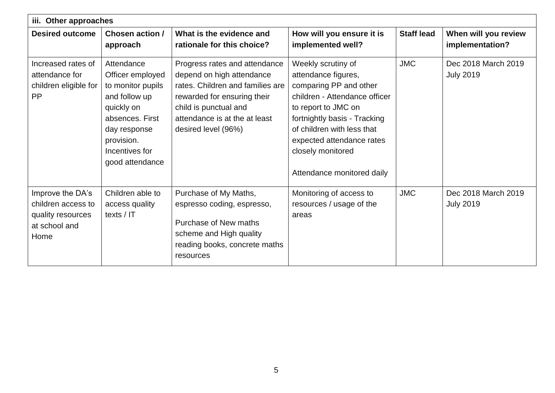| iii. Other approaches                                                                |                                                                                                                                                                          |                                                                                                                                                                                                                |                                                                                                                                                                                                                                                                           |                   |                                         |  |
|--------------------------------------------------------------------------------------|--------------------------------------------------------------------------------------------------------------------------------------------------------------------------|----------------------------------------------------------------------------------------------------------------------------------------------------------------------------------------------------------------|---------------------------------------------------------------------------------------------------------------------------------------------------------------------------------------------------------------------------------------------------------------------------|-------------------|-----------------------------------------|--|
| <b>Desired outcome</b>                                                               | Chosen action /<br>approach                                                                                                                                              | What is the evidence and<br>rationale for this choice?                                                                                                                                                         | How will you ensure it is<br>implemented well?                                                                                                                                                                                                                            | <b>Staff lead</b> | When will you review<br>implementation? |  |
| Increased rates of<br>attendance for<br>children eligible for<br><b>PP</b>           | Attendance<br>Officer employed<br>to monitor pupils<br>and follow up<br>quickly on<br>absences. First<br>day response<br>provision.<br>Incentives for<br>good attendance | Progress rates and attendance<br>depend on high attendance<br>rates. Children and families are<br>rewarded for ensuring their<br>child is punctual and<br>attendance is at the at least<br>desired level (96%) | Weekly scrutiny of<br>attendance figures,<br>comparing PP and other<br>children - Attendance officer<br>to report to JMC on<br>fortnightly basis - Tracking<br>of children with less that<br>expected attendance rates<br>closely monitored<br>Attendance monitored daily | <b>JMC</b>        | Dec 2018 March 2019<br><b>July 2019</b> |  |
| Improve the DA's<br>children access to<br>quality resources<br>at school and<br>Home | Children able to<br>access quality<br>texts / IT                                                                                                                         | Purchase of My Maths,<br>espresso coding, espresso,<br>Purchase of New maths<br>scheme and High quality<br>reading books, concrete maths<br>resources                                                          | Monitoring of access to<br>resources / usage of the<br>areas                                                                                                                                                                                                              | <b>JMC</b>        | Dec 2018 March 2019<br><b>July 2019</b> |  |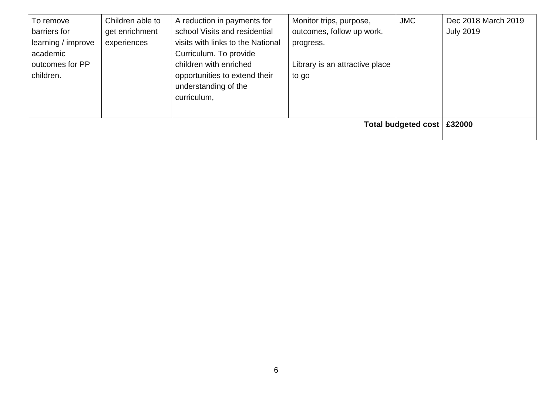| To remove          | Children able to             | A reduction in payments for       | Monitor trips, purpose,        | <b>JMC</b> | Dec 2018 March 2019 |
|--------------------|------------------------------|-----------------------------------|--------------------------------|------------|---------------------|
| barriers for       | get enrichment               | school Visits and residential     | outcomes, follow up work,      |            | <b>July 2019</b>    |
| learning / improve | experiences                  | visits with links to the National | progress.                      |            |                     |
| academic           |                              | Curriculum. To provide            |                                |            |                     |
| outcomes for PP    |                              | children with enriched            | Library is an attractive place |            |                     |
| children.          |                              | opportunities to extend their     | to go                          |            |                     |
|                    |                              | understanding of the              |                                |            |                     |
|                    |                              | curriculum,                       |                                |            |                     |
|                    |                              |                                   |                                |            |                     |
|                    | Total budgeted cost   £32000 |                                   |                                |            |                     |
|                    |                              |                                   |                                |            |                     |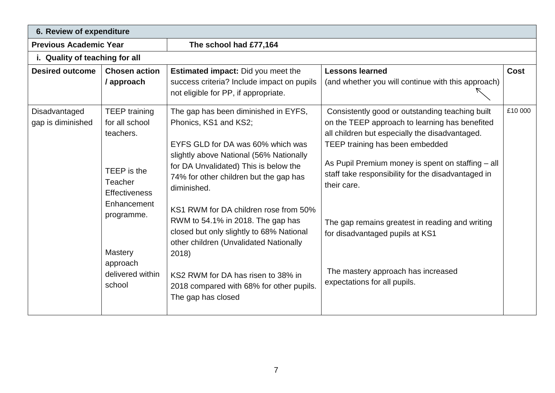| 6. Review of expenditure           |                                                                                                                                                                                         |                                                                                                                                                                                                                                                                                                                                                                                                                                                                                                                                      |                                                                                                                                                                                                                                                                                                                                                                                                                                                                              |         |  |  |
|------------------------------------|-----------------------------------------------------------------------------------------------------------------------------------------------------------------------------------------|--------------------------------------------------------------------------------------------------------------------------------------------------------------------------------------------------------------------------------------------------------------------------------------------------------------------------------------------------------------------------------------------------------------------------------------------------------------------------------------------------------------------------------------|------------------------------------------------------------------------------------------------------------------------------------------------------------------------------------------------------------------------------------------------------------------------------------------------------------------------------------------------------------------------------------------------------------------------------------------------------------------------------|---------|--|--|
| <b>Previous Academic Year</b>      |                                                                                                                                                                                         | The school had £77,164                                                                                                                                                                                                                                                                                                                                                                                                                                                                                                               |                                                                                                                                                                                                                                                                                                                                                                                                                                                                              |         |  |  |
| i. Quality of teaching for all     |                                                                                                                                                                                         |                                                                                                                                                                                                                                                                                                                                                                                                                                                                                                                                      |                                                                                                                                                                                                                                                                                                                                                                                                                                                                              |         |  |  |
| <b>Desired outcome</b>             | <b>Chosen action</b><br>/ approach                                                                                                                                                      | <b>Estimated impact:</b> Did you meet the<br>success criteria? Include impact on pupils<br>not eligible for PP, if appropriate.                                                                                                                                                                                                                                                                                                                                                                                                      | <b>Lessons learned</b><br>(and whether you will continue with this approach)                                                                                                                                                                                                                                                                                                                                                                                                 | Cost    |  |  |
| Disadvantaged<br>gap is diminished | <b>TEEP</b> training<br>for all school<br>teachers.<br>TEEP is the<br>Teacher<br><b>Effectiveness</b><br>Enhancement<br>programme.<br>Mastery<br>approach<br>delivered within<br>school | The gap has been diminished in EYFS,<br>Phonics, KS1 and KS2;<br>EYFS GLD for DA was 60% which was<br>slightly above National (56% Nationally<br>for DA Unvalidated) This is below the<br>74% for other children but the gap has<br>diminished.<br>KS1 RWM for DA children rose from 50%<br>RWM to 54.1% in 2018. The gap has<br>closed but only slightly to 68% National<br>other children (Unvalidated Nationally<br>2018)<br>KS2 RWM for DA has risen to 38% in<br>2018 compared with 68% for other pupils.<br>The gap has closed | Consistently good or outstanding teaching built<br>on the TEEP approach to learning has benefited<br>all children but especially the disadvantaged.<br>TEEP training has been embedded<br>As Pupil Premium money is spent on staffing - all<br>staff take responsibility for the disadvantaged in<br>their care.<br>The gap remains greatest in reading and writing<br>for disadvantaged pupils at KS1<br>The mastery approach has increased<br>expectations for all pupils. | £10 000 |  |  |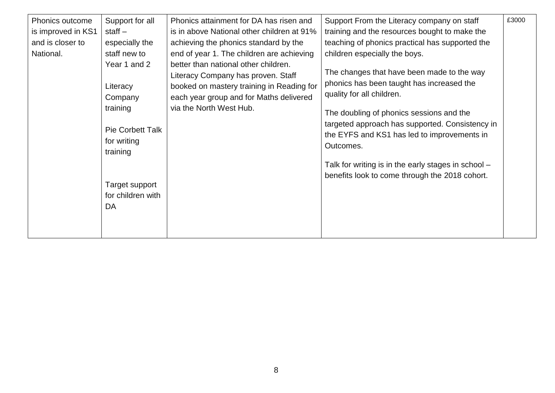| Phonics outcome<br>is improved in KS1<br>and is closer to<br>National. | Support for all<br>staff $-$<br>especially the<br>staff new to<br>Year 1 and 2<br>Literacy<br>Company<br>training<br><b>Pie Corbett Talk</b><br>for writing<br>training<br>Target support<br>for children with | Phonics attainment for DA has risen and<br>is in above National other children at 91%<br>achieving the phonics standard by the<br>end of year 1. The children are achieving<br>better than national other children.<br>Literacy Company has proven. Staff<br>booked on mastery training in Reading for<br>each year group and for Maths delivered<br>via the North West Hub. | Support From the Literacy company on staff<br>training and the resources bought to make the<br>teaching of phonics practical has supported the<br>children especially the boys.<br>The changes that have been made to the way<br>phonics has been taught has increased the<br>quality for all children.<br>The doubling of phonics sessions and the<br>targeted approach has supported. Consistency in<br>the EYFS and KS1 has led to improvements in<br>Outcomes.<br>Talk for writing is in the early stages in school -<br>benefits look to come through the 2018 cohort. | £3000 |
|------------------------------------------------------------------------|----------------------------------------------------------------------------------------------------------------------------------------------------------------------------------------------------------------|------------------------------------------------------------------------------------------------------------------------------------------------------------------------------------------------------------------------------------------------------------------------------------------------------------------------------------------------------------------------------|-----------------------------------------------------------------------------------------------------------------------------------------------------------------------------------------------------------------------------------------------------------------------------------------------------------------------------------------------------------------------------------------------------------------------------------------------------------------------------------------------------------------------------------------------------------------------------|-------|
|                                                                        | DA                                                                                                                                                                                                             |                                                                                                                                                                                                                                                                                                                                                                              |                                                                                                                                                                                                                                                                                                                                                                                                                                                                                                                                                                             |       |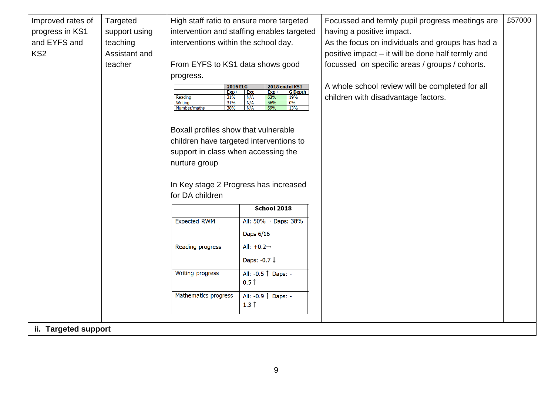| Improved rates of    | Targeted      |                                         | High staff ratio to ensure more targeted         | Focussed and termly pupil progress meetings are   | £57000 |
|----------------------|---------------|-----------------------------------------|--------------------------------------------------|---------------------------------------------------|--------|
|                      |               |                                         | intervention and staffing enables targeted       | having a positive impact.                         |        |
| progress in KS1      | support using |                                         |                                                  |                                                   |        |
| and EYFS and         | teaching      | interventions within the school day.    |                                                  | As the focus on individuals and groups has had a  |        |
| KS <sub>2</sub>      | Assistant and |                                         |                                                  | positive impact – it will be done half termly and |        |
|                      | teacher       | From EYFS to KS1 data shows good        |                                                  | focussed on specific areas / groups / cohorts.    |        |
|                      |               | progress.                               |                                                  |                                                   |        |
|                      |               | <b>2016 ELG</b><br>$Exp+$               | 2018 end of KS1<br><b>G</b> Depth<br>Exc<br>Exp+ | A whole school review will be completed for all   |        |
|                      |               | Reading<br>31%<br>Writing<br>31%        | 19%<br>N/A<br>63%<br>N/A<br>56%<br>0%            | children with disadvantage factors.               |        |
|                      |               | Number/maths<br>38%                     | N/A<br>69%<br>13%                                |                                                   |        |
|                      |               |                                         |                                                  |                                                   |        |
|                      |               | Boxall profiles show that vulnerable    |                                                  |                                                   |        |
|                      |               | children have targeted interventions to |                                                  |                                                   |        |
|                      |               | support in class when accessing the     |                                                  |                                                   |        |
|                      |               | nurture group                           |                                                  |                                                   |        |
|                      |               |                                         |                                                  |                                                   |        |
|                      |               |                                         | In Key stage 2 Progress has increased            |                                                   |        |
|                      |               | for DA children                         |                                                  |                                                   |        |
|                      |               |                                         | School 2018                                      |                                                   |        |
|                      |               |                                         |                                                  |                                                   |        |
|                      |               | <b>Expected RWM</b>                     | All: 50%→ Daps: 38%                              |                                                   |        |
|                      |               |                                         | Daps 6/16                                        |                                                   |        |
|                      |               | Reading progress                        | All: $+0.2 \rightarrow$                          |                                                   |        |
|                      |               |                                         | Daps: -0.7 $\downarrow$                          |                                                   |        |
|                      |               |                                         |                                                  |                                                   |        |
|                      |               | Writing progress                        | All: -0.5   Daps: -<br>$0.5$ $\uparrow$          |                                                   |        |
|                      |               |                                         |                                                  |                                                   |        |
|                      |               | Mathematics progress                    | All: -0.9   Daps: -                              |                                                   |        |
|                      |               |                                         | $1.3$ $\uparrow$                                 |                                                   |        |
|                      |               |                                         |                                                  |                                                   |        |
| ii. Targeted support |               |                                         |                                                  |                                                   |        |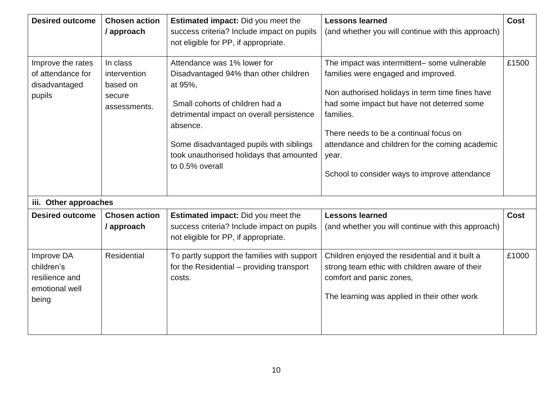| <b>Desired outcome</b>                                                | <b>Chosen action</b><br>/ approach                             | <b>Estimated impact:</b> Did you meet the<br>success criteria? Include impact on pupils<br>not eligible for PP, if appropriate.                                                                                                                                                       | <b>Lessons learned</b><br>(and whether you will continue with this approach)                                                                                                                                                                                                                                                                             | <b>Cost</b> |
|-----------------------------------------------------------------------|----------------------------------------------------------------|---------------------------------------------------------------------------------------------------------------------------------------------------------------------------------------------------------------------------------------------------------------------------------------|----------------------------------------------------------------------------------------------------------------------------------------------------------------------------------------------------------------------------------------------------------------------------------------------------------------------------------------------------------|-------------|
| Improve the rates<br>of attendance for<br>disadvantaged<br>pupils     | In class<br>intervention<br>based on<br>secure<br>assessments. | Attendance was 1% lower for<br>Disadvantaged 94% than other children<br>at 95%,<br>Small cohorts of children had a<br>detrimental impact on overall persistence<br>absence.<br>Some disadvantaged pupils with siblings<br>took unauthorised holidays that amounted<br>to 0.5% overall | The impact was intermittent- some vulnerable<br>families were engaged and improved.<br>Non authorised holidays in term time fines have<br>had some impact but have not deterred some<br>families.<br>There needs to be a continual focus on<br>attendance and children for the coming academic<br>year.<br>School to consider ways to improve attendance | £1500       |
| iii. Other approaches                                                 |                                                                |                                                                                                                                                                                                                                                                                       |                                                                                                                                                                                                                                                                                                                                                          |             |
| <b>Desired outcome</b>                                                | <b>Chosen action</b><br>/ approach                             | <b>Estimated impact:</b> Did you meet the<br>success criteria? Include impact on pupils<br>not eligible for PP, if appropriate.                                                                                                                                                       | <b>Lessons learned</b><br>(and whether you will continue with this approach)                                                                                                                                                                                                                                                                             | <b>Cost</b> |
| Improve DA<br>children's<br>resilience and<br>emotional well<br>being | Residential                                                    | To partly support the families with support<br>for the Residential – providing transport<br>costs.                                                                                                                                                                                    | Children enjoyed the residential and it built a<br>strong team ethic with children aware of their<br>comfort and panic zones,<br>The learning was applied in their other work                                                                                                                                                                            | £1000       |